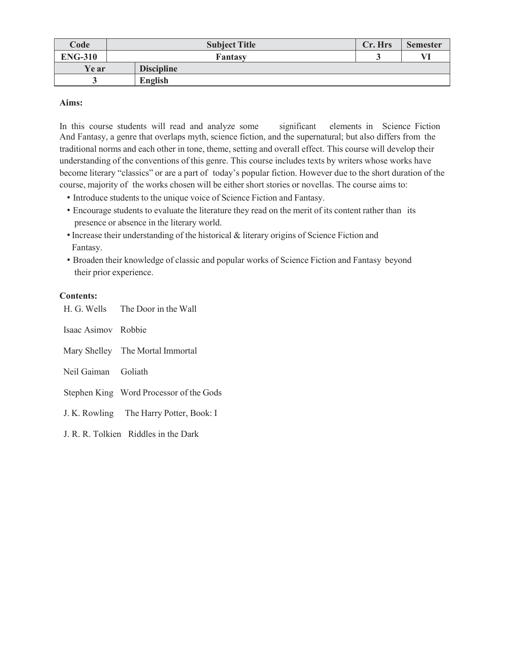| Code           | <b>Subject Title</b> | Cr. Hrs | <b>Semester</b> |
|----------------|----------------------|---------|-----------------|
| <b>ENG-310</b> | Fantasy              |         | VI              |
| Ye ar          | <b>Discipline</b>    |         |                 |
|                | English              |         |                 |

## **Aims:**

In this course students will read and analyze some significant elements in Science Fiction And Fantasy, a genre that overlaps myth, science fiction, and the supernatural; but also differs from the traditional norms and each other in tone, theme, setting and overall effect. This course will develop their understanding of the conventions of this genre. This course includes texts by writers whose works have become literary "classics" or are a part of today's popular fiction. However due to the short duration of the course, majority of the works chosen will be either short stories or novellas. The course aims to:

- Introduce students to the unique voice of Science Fiction and Fantasy.
- Encourage students to evaluate the literature they read on the merit of its content rather than its presence or absence in the literary world.
- •Increase their understanding of the historical & literary origins of Science Fiction and Fantasy.
- Broaden their knowledge of classic and popular works of Science Fiction and Fantasy beyond their prior experience.

## **Contents:**

|                     | H. G. Wells The Door in the Wall        |
|---------------------|-----------------------------------------|
| Isaac Asimov Robbie |                                         |
|                     | Mary Shelley The Mortal Immortal        |
| Neil Gaiman Goliath |                                         |
|                     | Stephen King Word Processor of the Gods |
|                     | J. K. Rowling The Harry Potter, Book: I |
|                     | J. R. R. Tolkien Riddles in the Dark    |